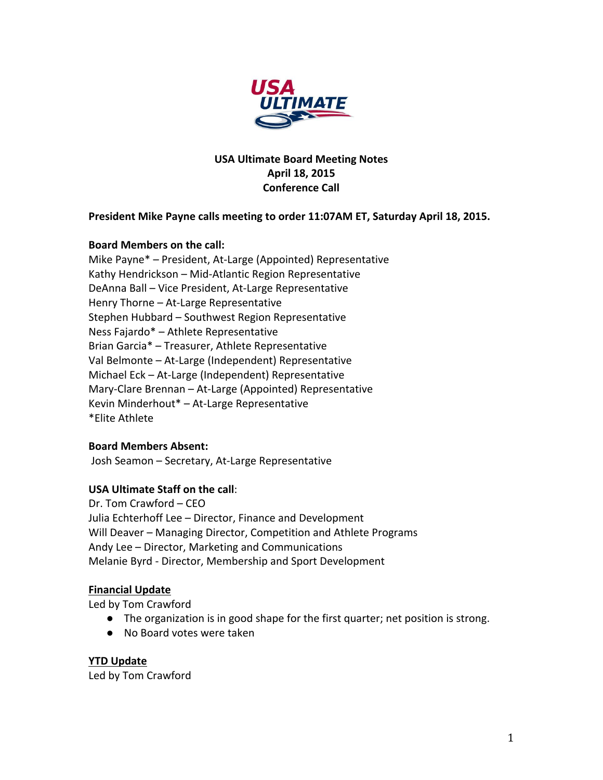

## **USA Ultimate Board Meeting Notes April 18, 2015 Conference Call**

## President Mike Payne calls meeting to order 11:07AM ET, Saturday April 18, 2015.

### **Board Members on the call:**

Mike Payne\* - President, At-Large (Appointed) Representative Kathy Hendrickson - Mid-Atlantic Region Representative DeAnna Ball - Vice President, At-Large Representative Henry Thorne - At-Large Representative Stephen Hubbard - Southwest Region Representative Ness Fajardo\* - Athlete Representative Brian Garcia\* - Treasurer, Athlete Representative Val Belmonte – At-Large (Independent) Representative Michael Eck - At-Large (Independent) Representative Mary-Clare Brennan - At-Large (Appointed) Representative Kevin Minderhout\* - At-Large Representative \*Elite Athlete

### **Board Members Absent:**

Josh Seamon - Secretary, At-Large Representative

### **USA Ultimate Staff on the call:**

Dr. Tom Crawford - CEO Julia Echterhoff Lee - Director, Finance and Development Will Deaver – Managing Director, Competition and Athlete Programs Andy Lee - Director, Marketing and Communications Melanie Byrd - Director, Membership and Sport Development

#### **Financial Update**

Led by Tom Crawford

- The organization is in good shape for the first quarter; net position is strong.
- No Board votes were taken

**YTD Update** Led by Tom Crawford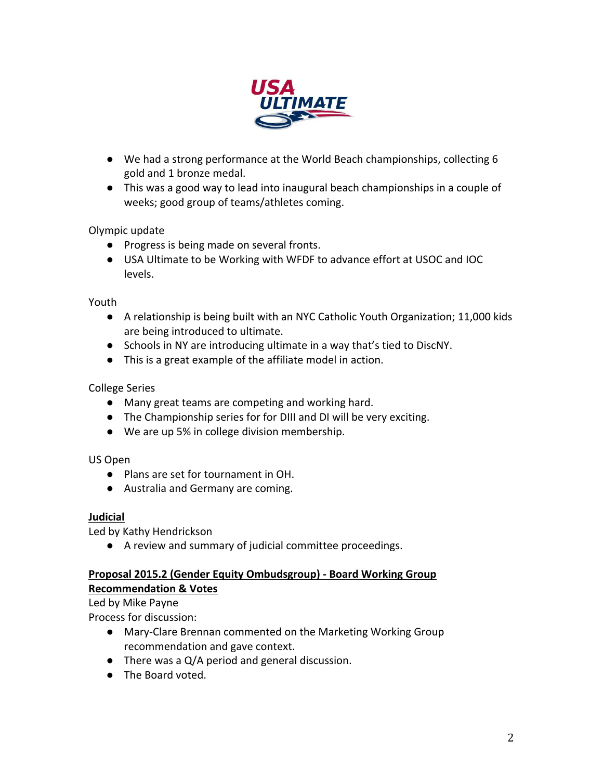

- We had a strong performance at the World Beach championships, collecting 6 gold and 1 bronze medal.
- This was a good way to lead into inaugural beach championships in a couple of weeks; good group of teams/athletes coming.

Olympic update

- Progress is being made on several fronts.
- USA Ultimate to be Working with WFDF to advance effort at USOC and IOC levels.

Youth

- A relationship is being built with an NYC Catholic Youth Organization; 11,000 kids are being introduced to ultimate.
- Schools in NY are introducing ultimate in a way that's tied to DiscNY.
- $\bullet$  This is a great example of the affiliate model in action.

College Series

- Many great teams are competing and working hard.
- The Championship series for for DIII and DI will be very exciting.
- We are up 5% in college division membership.

US Open

- Plans are set for tournament in OH.
- Australia and Germany are coming.

### **Judicial**

Led by Kathy Hendrickson

● A review and summary of judicial committee proceedings.

## **Proposal 2015.2 (Gender Equity Ombudsgroup) - Board Working Group Recommendation & Votes**

Led by Mike Payne

Process for discussion:

- Mary-Clare Brennan commented on the Marketing Working Group recommendation and gave context.
- $\bullet$  There was a Q/A period and general discussion.
- The Board voted.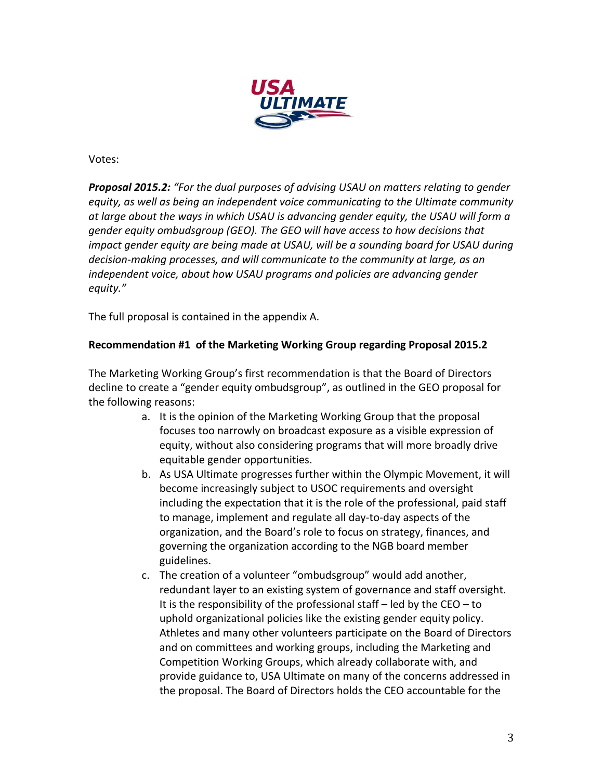

Votes:

**Proposal 2015.2:** "For the dual purposes of advising USAU on matters relating to gender equity, as well as being an independent voice communicating to the Ultimate community at large about the ways in which USAU is advancing gender equity, the USAU will form a gender equity ombudsgroup (GEO). The GEO will have access to how decisions that *impact gender equity are being made at USAU, will be a sounding board for USAU during* decision-making processes, and will communicate to the community at large, as an *independent voice, about how USAU programs and policies are advancing gender equity."*

The full proposal is contained in the appendix A.

## **Recommendation #1 of the Marketing Working Group regarding Proposal 2015.2**

The Marketing Working Group's first recommendation is that the Board of Directors decline to create a "gender equity ombudsgroup", as outlined in the GEO proposal for the following reasons:

- a. It is the opinion of the Marketing Working Group that the proposal focuses too narrowly on broadcast exposure as a visible expression of equity, without also considering programs that will more broadly drive equitable gender opportunities.
- b. As USA Ultimate progresses further within the Olympic Movement, it will become increasingly subject to USOC requirements and oversight including the expectation that it is the role of the professional, paid staff to manage, implement and regulate all day-to-day aspects of the organization, and the Board's role to focus on strategy, finances, and governing the organization according to the NGB board member guidelines.
- c. The creation of a volunteer "ombudsgroup" would add another, redundant layer to an existing system of governance and staff oversight. It is the responsibility of the professional staff  $-$  led by the CEO  $-$  to uphold organizational policies like the existing gender equity policy. Athletes and many other volunteers participate on the Board of Directors and on committees and working groups, including the Marketing and Competition Working Groups, which already collaborate with, and provide guidance to, USA Ultimate on many of the concerns addressed in the proposal. The Board of Directors holds the CEO accountable for the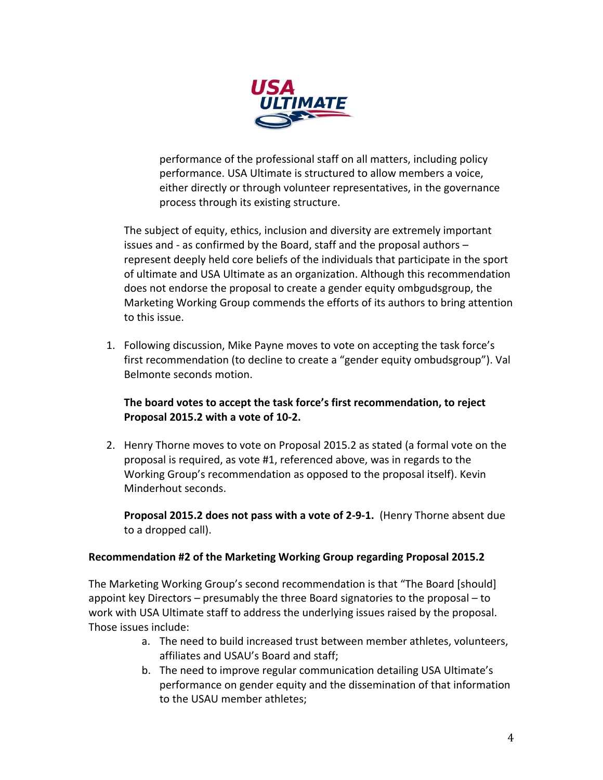

performance of the professional staff on all matters, including policy performance. USA Ultimate is structured to allow members a voice, either directly or through volunteer representatives, in the governance process through its existing structure.

The subject of equity, ethics, inclusion and diversity are extremely important issues and - as confirmed by the Board, staff and the proposal authors  $$ represent deeply held core beliefs of the individuals that participate in the sport of ultimate and USA Ultimate as an organization. Although this recommendation does not endorse the proposal to create a gender equity ombgudsgroup, the Marketing Working Group commends the efforts of its authors to bring attention to this issue.

1. Following discussion, Mike Payne moves to vote on accepting the task force's first recommendation (to decline to create a "gender equity ombudsgroup"). Val Belmonte seconds motion.

## The board votes to accept the task force's first recommendation, to reject Proposal 2015.2 with a vote of 10-2.

2. Henry Thorne moves to vote on Proposal 2015.2 as stated (a formal vote on the proposal is required, as vote #1, referenced above, was in regards to the Working Group's recommendation as opposed to the proposal itself). Kevin Minderhout seconds.

**Proposal 2015.2 does not pass with a vote of 2-9-1.** (Henry Thorne absent due to a dropped call).

### **Recommendation #2 of the Marketing Working Group regarding Proposal 2015.2**

The Marketing Working Group's second recommendation is that "The Board [should] appoint key Directors – presumably the three Board signatories to the proposal – to work with USA Ultimate staff to address the underlying issues raised by the proposal. Those issues include:

- a. The need to build increased trust between member athletes, volunteers, affiliates and USAU's Board and staff;
- b. The need to improve regular communication detailing USA Ultimate's performance on gender equity and the dissemination of that information to the USAU member athletes;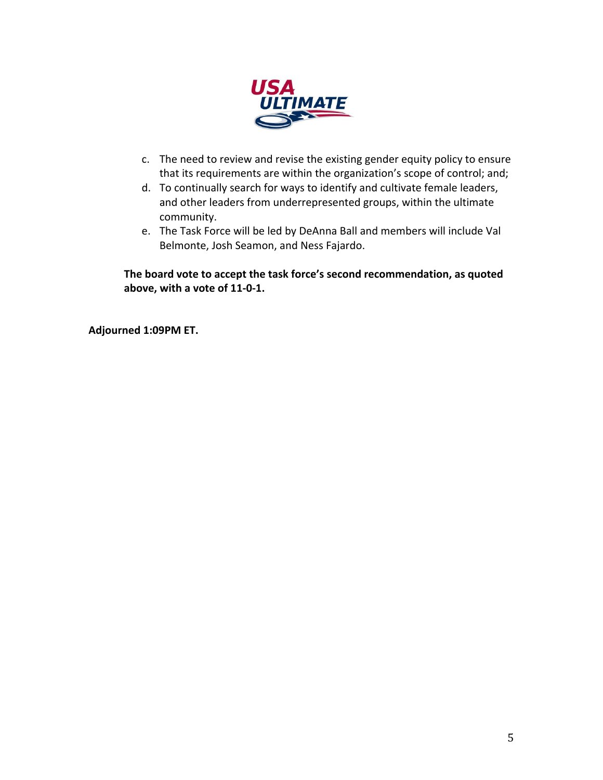

- c. The need to review and revise the existing gender equity policy to ensure that its requirements are within the organization's scope of control; and;
- d. To continually search for ways to identify and cultivate female leaders, and other leaders from underrepresented groups, within the ultimate community.
- e. The Task Force will be led by DeAnna Ball and members will include Val Belmonte, Josh Seamon, and Ness Fajardo.

The board vote to accept the task force's second recommendation, as quoted above, with a vote of 11-0-1.

**Adjourned 1:09PM ET.**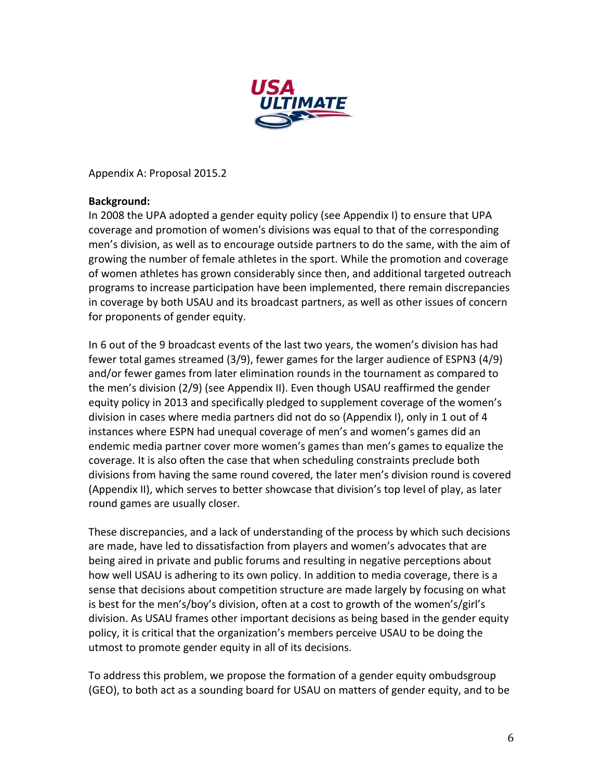

Appendix A: Proposal 2015.2

## **Background:**

In 2008 the UPA adopted a gender equity policy (see Appendix I) to ensure that UPA coverage and promotion of women's divisions was equal to that of the corresponding men's division, as well as to encourage outside partners to do the same, with the aim of growing the number of female athletes in the sport. While the promotion and coverage of women athletes has grown considerably since then, and additional targeted outreach programs to increase participation have been implemented, there remain discrepancies in coverage by both USAU and its broadcast partners, as well as other issues of concern for proponents of gender equity.

In 6 out of the 9 broadcast events of the last two years, the women's division has had fewer total games streamed  $(3/9)$ , fewer games for the larger audience of ESPN3  $(4/9)$ and/or fewer games from later elimination rounds in the tournament as compared to the men's division (2/9) (see Appendix II). Even though USAU reaffirmed the gender equity policy in 2013 and specifically pledged to supplement coverage of the women's division in cases where media partners did not do so (Appendix I), only in 1 out of 4 instances where ESPN had unequal coverage of men's and women's games did an endemic media partner cover more women's games than men's games to equalize the coverage. It is also often the case that when scheduling constraints preclude both divisions from having the same round covered, the later men's division round is covered (Appendix II), which serves to better showcase that division's top level of play, as later round games are usually closer.

These discrepancies, and a lack of understanding of the process by which such decisions are made, have led to dissatisfaction from players and women's advocates that are being aired in private and public forums and resulting in negative perceptions about how well USAU is adhering to its own policy. In addition to media coverage, there is a sense that decisions about competition structure are made largely by focusing on what is best for the men's/boy's division, often at a cost to growth of the women's/girl's division. As USAU frames other important decisions as being based in the gender equity policy, it is critical that the organization's members perceive USAU to be doing the utmost to promote gender equity in all of its decisions.

To address this problem, we propose the formation of a gender equity ombudsgroup (GEO), to both act as a sounding board for USAU on matters of gender equity, and to be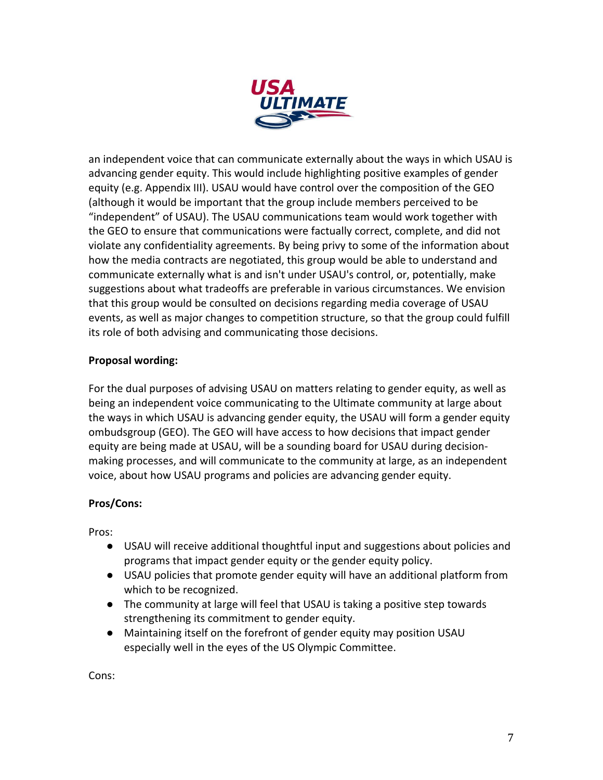

an independent voice that can communicate externally about the ways in which USAU is advancing gender equity. This would include highlighting positive examples of gender equity (e.g. Appendix III). USAU would have control over the composition of the GEO (although it would be important that the group include members perceived to be "independent" of USAU). The USAU communications team would work together with the GEO to ensure that communications were factually correct, complete, and did not violate any confidentiality agreements. By being privy to some of the information about how the media contracts are negotiated, this group would be able to understand and communicate externally what is and isn't under USAU's control, or, potentially, make suggestions about what tradeoffs are preferable in various circumstances. We envision that this group would be consulted on decisions regarding media coverage of USAU events, as well as major changes to competition structure, so that the group could fulfill its role of both advising and communicating those decisions.

## **Proposal wording:**

For the dual purposes of advising USAU on matters relating to gender equity, as well as being an independent voice communicating to the Ultimate community at large about the ways in which USAU is advancing gender equity, the USAU will form a gender equity ombudsgroup (GEO). The GEO will have access to how decisions that impact gender equity are being made at USAU, will be a sounding board for USAU during decisionmaking processes, and will communicate to the community at large, as an independent voice, about how USAU programs and policies are advancing gender equity.

# **Pros/Cons:**

Pros:

- USAU will receive additional thoughtful input and suggestions about policies and programs that impact gender equity or the gender equity policy.
- USAU policies that promote gender equity will have an additional platform from which to be recognized.
- The community at large will feel that USAU is taking a positive step towards strengthening its commitment to gender equity.
- Maintaining itself on the forefront of gender equity may position USAU especially well in the eyes of the US Olympic Committee.

Cons: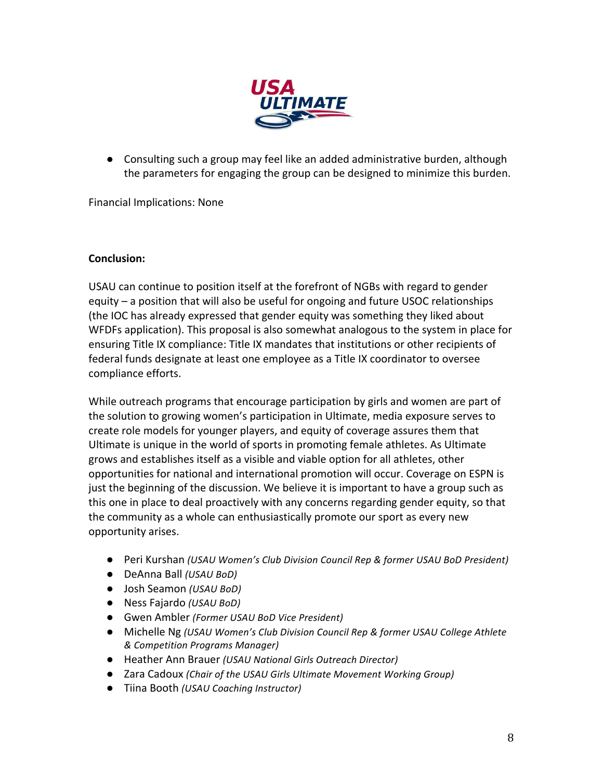

● Consulting such a group may feel like an added administrative burden, although the parameters for engaging the group can be designed to minimize this burden.

Financial Implications: None

## **Conclusion:**

USAU can continue to position itself at the forefront of NGBs with regard to gender equity  $-$  a position that will also be useful for ongoing and future USOC relationships (the IOC has already expressed that gender equity was something they liked about WFDFs application). This proposal is also somewhat analogous to the system in place for ensuring Title IX compliance: Title IX mandates that institutions or other recipients of federal funds designate at least one employee as a Title IX coordinator to oversee compliance efforts.

While outreach programs that encourage participation by girls and women are part of the solution to growing women's participation in Ultimate, media exposure serves to create role models for younger players, and equity of coverage assures them that Ultimate is unique in the world of sports in promoting female athletes. As Ultimate grows and establishes itself as a visible and viable option for all athletes, other opportunities for national and international promotion will occur. Coverage on ESPN is just the beginning of the discussion. We believe it is important to have a group such as this one in place to deal proactively with any concerns regarding gender equity, so that the community as a whole can enthusiastically promote our sport as every new opportunity arises.

- Peri Kurshan *(USAU Women's Club Division Council Rep & former USAU BoD President)*
- DeAnna Ball *(USAU BoD)*
- Josh Seamon *(USAU BoD)*
- Ness Fajardo *(USAU BoD)*
- Gwen Ambler *(Former USAU BoD Vice President)*
- Michelle Ng (USAU Women's Club Division Council Rep & former USAU College Athlete *& Competition Programs Manager)*
- Heather Ann Brauer *(USAU National Girls Outreach Director)*
- Zara Cadoux *(Chair of the USAU Girls Ultimate Movement Working Group)*
- Tiina Booth *(USAU Coaching Instructor)*